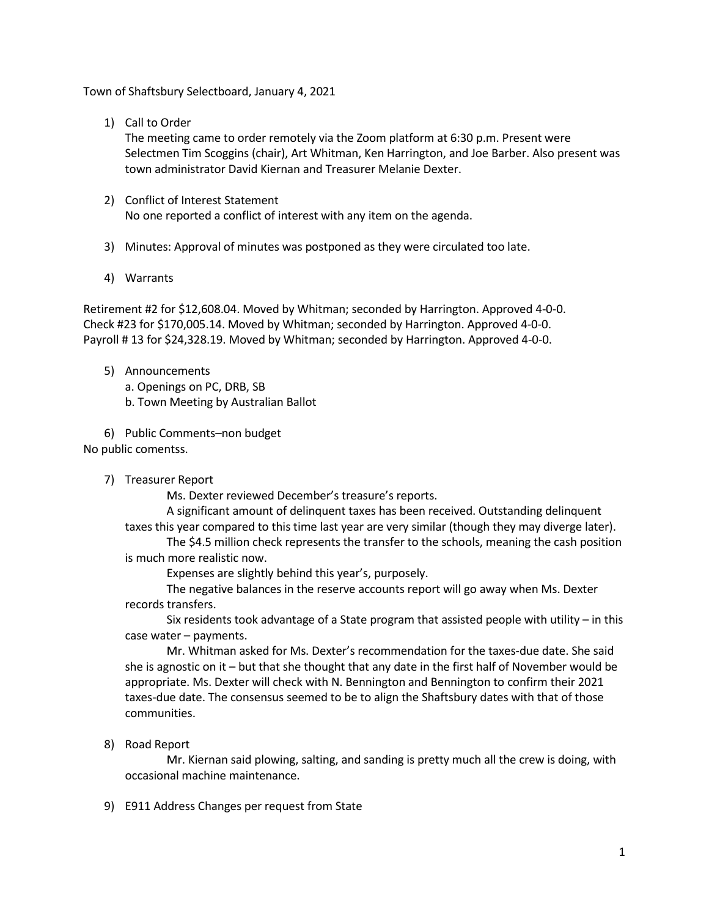Town of Shaftsbury Selectboard, January 4, 2021

1) Call to Order

The meeting came to order remotely via the Zoom platform at 6:30 p.m. Present were Selectmen Tim Scoggins (chair), Art Whitman, Ken Harrington, and Joe Barber. Also present was town administrator David Kiernan and Treasurer Melanie Dexter.

- 2) Conflict of Interest Statement No one reported a conflict of interest with any item on the agenda.
- 3) Minutes: Approval of minutes was postponed as they were circulated too late.
- 4) Warrants

Retirement #2 for \$12,608.04. Moved by Whitman; seconded by Harrington. Approved 4-0-0. Check #23 for \$170,005.14. Moved by Whitman; seconded by Harrington. Approved 4-0-0. Payroll # 13 for \$24,328.19. Moved by Whitman; seconded by Harrington. Approved 4-0-0.

- 5) Announcements
	- a. Openings on PC, DRB, SB
	- b. Town Meeting by Australian Ballot

6) Public Comments–non budget

No public comentss.

7) Treasurer Report

Ms. Dexter reviewed December's treasure's reports.

A significant amount of delinquent taxes has been received. Outstanding delinquent taxes this year compared to this time last year are very similar (though they may diverge later).

The \$4.5 million check represents the transfer to the schools, meaning the cash position is much more realistic now.

Expenses are slightly behind this year's, purposely.

The negative balances in the reserve accounts report will go away when Ms. Dexter records transfers.

Six residents took advantage of a State program that assisted people with utility – in this case water – payments.

Mr. Whitman asked for Ms. Dexter's recommendation for the taxes-due date. She said she is agnostic on it – but that she thought that any date in the first half of November would be appropriate. Ms. Dexter will check with N. Bennington and Bennington to confirm their 2021 taxes-due date. The consensus seemed to be to align the Shaftsbury dates with that of those communities.

8) Road Report

Mr. Kiernan said plowing, salting, and sanding is pretty much all the crew is doing, with occasional machine maintenance.

9) E911 Address Changes per request from State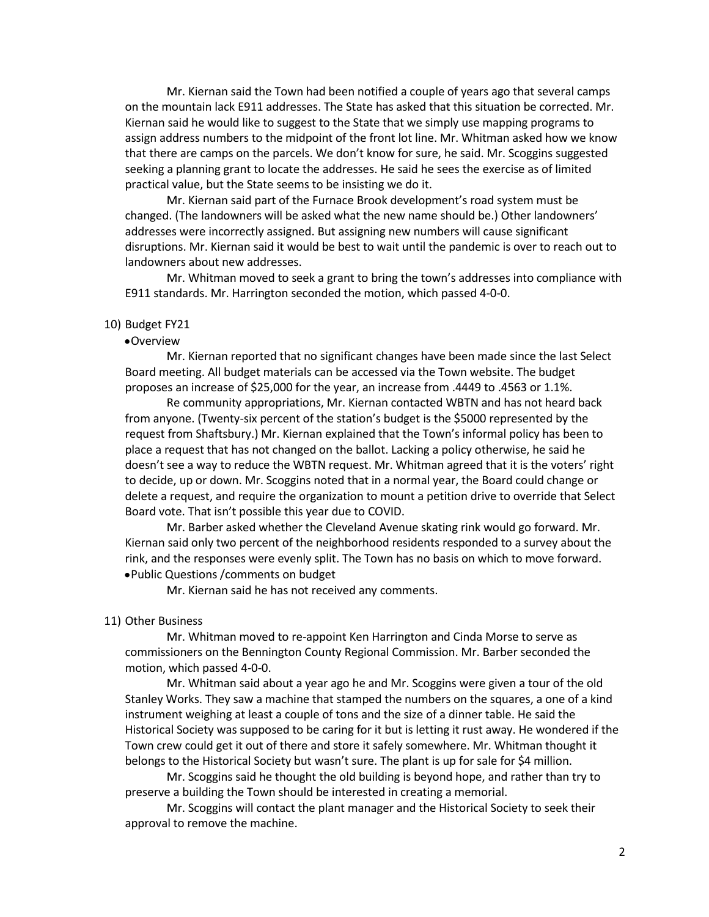Mr. Kiernan said the Town had been notified a couple of years ago that several camps on the mountain lack E911 addresses. The State has asked that this situation be corrected. Mr. Kiernan said he would like to suggest to the State that we simply use mapping programs to assign address numbers to the midpoint of the front lot line. Mr. Whitman asked how we know that there are camps on the parcels. We don't know for sure, he said. Mr. Scoggins suggested seeking a planning grant to locate the addresses. He said he sees the exercise as of limited practical value, but the State seems to be insisting we do it.

Mr. Kiernan said part of the Furnace Brook development's road system must be changed. (The landowners will be asked what the new name should be.) Other landowners' addresses were incorrectly assigned. But assigning new numbers will cause significant disruptions. Mr. Kiernan said it would be best to wait until the pandemic is over to reach out to landowners about new addresses.

Mr. Whitman moved to seek a grant to bring the town's addresses into compliance with E911 standards. Mr. Harrington seconded the motion, which passed 4-0-0.

## 10) Budget FY21

## •Overview

Mr. Kiernan reported that no significant changes have been made since the last Select Board meeting. All budget materials can be accessed via the Town website. The budget proposes an increase of \$25,000 for the year, an increase from .4449 to .4563 or 1.1%.

Re community appropriations, Mr. Kiernan contacted WBTN and has not heard back from anyone. (Twenty-six percent of the station's budget is the \$5000 represented by the request from Shaftsbury.) Mr. Kiernan explained that the Town's informal policy has been to place a request that has not changed on the ballot. Lacking a policy otherwise, he said he doesn't see a way to reduce the WBTN request. Mr. Whitman agreed that it is the voters' right to decide, up or down. Mr. Scoggins noted that in a normal year, the Board could change or delete a request, and require the organization to mount a petition drive to override that Select Board vote. That isn't possible this year due to COVID.

Mr. Barber asked whether the Cleveland Avenue skating rink would go forward. Mr. Kiernan said only two percent of the neighborhood residents responded to a survey about the rink, and the responses were evenly split. The Town has no basis on which to move forward. •Public Questions /comments on budget

Mr. Kiernan said he has not received any comments.

## 11) Other Business

Mr. Whitman moved to re-appoint Ken Harrington and Cinda Morse to serve as commissioners on the Bennington County Regional Commission. Mr. Barber seconded the motion, which passed 4-0-0.

Mr. Whitman said about a year ago he and Mr. Scoggins were given a tour of the old Stanley Works. They saw a machine that stamped the numbers on the squares, a one of a kind instrument weighing at least a couple of tons and the size of a dinner table. He said the Historical Society was supposed to be caring for it but is letting it rust away. He wondered if the Town crew could get it out of there and store it safely somewhere. Mr. Whitman thought it belongs to the Historical Society but wasn't sure. The plant is up for sale for \$4 million.

Mr. Scoggins said he thought the old building is beyond hope, and rather than try to preserve a building the Town should be interested in creating a memorial.

Mr. Scoggins will contact the plant manager and the Historical Society to seek their approval to remove the machine.